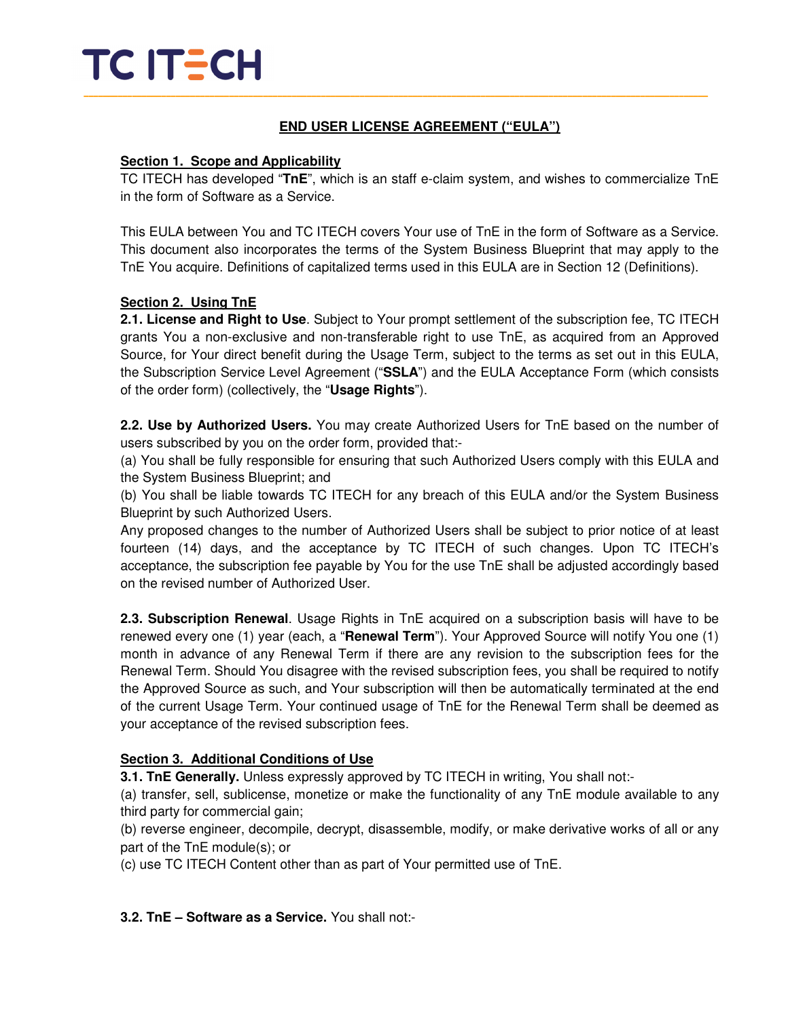## TC ITECH \_\_\_\_\_\_\_\_\_\_\_\_\_\_\_\_\_\_\_\_\_\_\_\_\_\_\_\_\_\_\_\_\_\_\_\_\_\_\_\_\_\_\_\_\_\_\_\_\_\_\_\_\_\_\_\_\_\_\_\_\_\_\_\_\_\_\_\_\_\_\_\_\_\_\_\_\_\_\_\_\_\_\_\_\_\_\_\_\_\_\_\_\_\_\_\_\_\_\_\_\_\_\_\_\_\_\_\_\_\_\_\_\_\_\_\_\_\_\_\_\_\_\_\_\_\_\_\_\_

### **END USER LICENSE AGREEMENT ("EULA")**

#### **Section 1. Scope and Applicability**

TC ITECH has developed "**TnE**", which is an staff e-claim system, and wishes to commercialize TnE in the form of Software as a Service.

This EULA between You and TC ITECH covers Your use of TnE in the form of Software as a Service. This document also incorporates the terms of the System Business Blueprint that may apply to the TnE You acquire. Definitions of capitalized terms used in this EULA are in Section 12 (Definitions).

#### **Section 2. Using TnE**

**2.1. License and Right to Use**. Subject to Your prompt settlement of the subscription fee, TC ITECH grants You a non-exclusive and non-transferable right to use TnE, as acquired from an Approved Source, for Your direct benefit during the Usage Term, subject to the terms as set out in this EULA, the Subscription Service Level Agreement ("**SSLA**") and the EULA Acceptance Form (which consists of the order form) (collectively, the "**Usage Rights**").

**2.2. Use by Authorized Users.** You may create Authorized Users for TnE based on the number of users subscribed by you on the order form, provided that:-

(a) You shall be fully responsible for ensuring that such Authorized Users comply with this EULA and the System Business Blueprint; and

(b) You shall be liable towards TC ITECH for any breach of this EULA and/or the System Business Blueprint by such Authorized Users.

Any proposed changes to the number of Authorized Users shall be subject to prior notice of at least fourteen (14) days, and the acceptance by TC ITECH of such changes. Upon TC ITECH's acceptance, the subscription fee payable by You for the use TnE shall be adjusted accordingly based on the revised number of Authorized User.

**2.3. Subscription Renewal**. Usage Rights in TnE acquired on a subscription basis will have to be renewed every one (1) year (each, a "**Renewal Term**"). Your Approved Source will notify You one (1) month in advance of any Renewal Term if there are any revision to the subscription fees for the Renewal Term. Should You disagree with the revised subscription fees, you shall be required to notify the Approved Source as such, and Your subscription will then be automatically terminated at the end of the current Usage Term. Your continued usage of TnE for the Renewal Term shall be deemed as your acceptance of the revised subscription fees.

#### **Section 3. Additional Conditions of Use**

**3.1. TnE Generally.** Unless expressly approved by TC ITECH in writing, You shall not:-

(a) transfer, sell, sublicense, monetize or make the functionality of any TnE module available to any third party for commercial gain;

(b) reverse engineer, decompile, decrypt, disassemble, modify, or make derivative works of all or any part of the TnE module(s); or

(c) use TC ITECH Content other than as part of Your permitted use of TnE.

**3.2. TnE – Software as a Service.** You shall not:-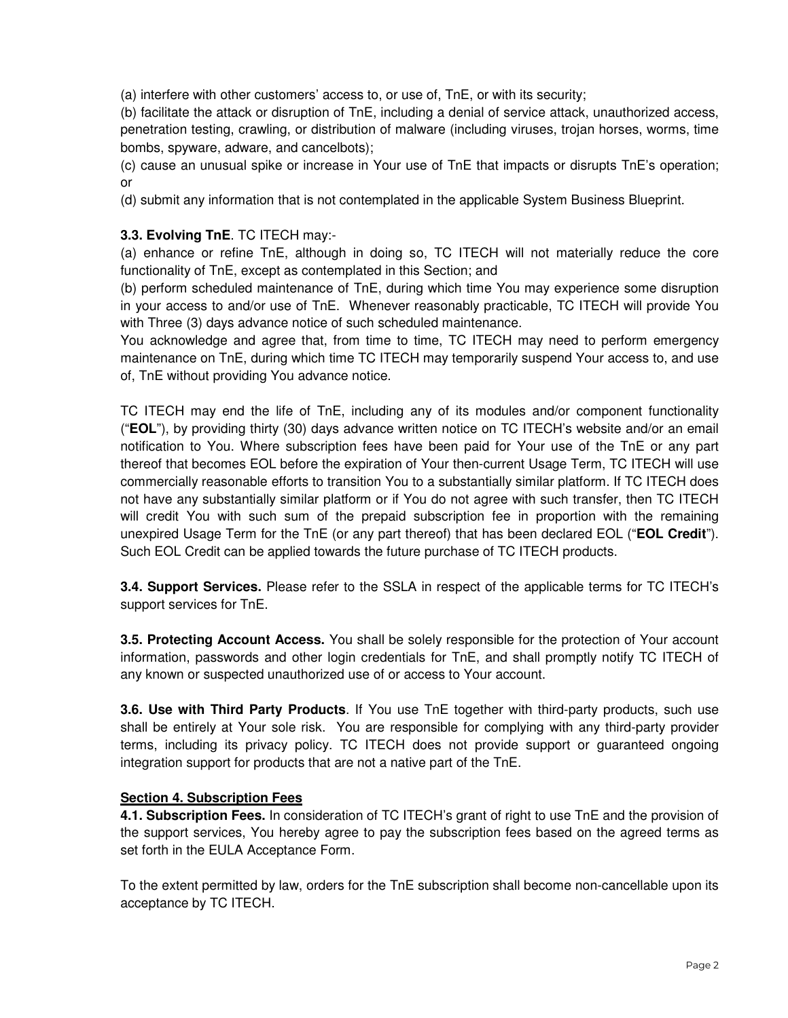(a) interfere with other customers' access to, or use of, TnE, or with its security;

(b) facilitate the attack or disruption of TnE, including a denial of service attack, unauthorized access, penetration testing, crawling, or distribution of malware (including viruses, trojan horses, worms, time bombs, spyware, adware, and cancelbots);

(c) cause an unusual spike or increase in Your use of TnE that impacts or disrupts TnE's operation; or

(d) submit any information that is not contemplated in the applicable System Business Blueprint.

#### **3.3. Evolving TnE**. TC ITECH may:-

(a) enhance or refine TnE, although in doing so, TC ITECH will not materially reduce the core functionality of TnE, except as contemplated in this Section; and

(b) perform scheduled maintenance of TnE, during which time You may experience some disruption in your access to and/or use of TnE. Whenever reasonably practicable, TC ITECH will provide You with Three (3) days advance notice of such scheduled maintenance.

You acknowledge and agree that, from time to time, TC ITECH may need to perform emergency maintenance on TnE, during which time TC ITECH may temporarily suspend Your access to, and use of, TnE without providing You advance notice.

TC ITECH may end the life of TnE, including any of its modules and/or component functionality ("**EOL**"), by providing thirty (30) days advance written notice on TC ITECH's website and/or an email notification to You. Where subscription fees have been paid for Your use of the TnE or any part thereof that becomes EOL before the expiration of Your then-current Usage Term, TC ITECH will use commercially reasonable efforts to transition You to a substantially similar platform. If TC ITECH does not have any substantially similar platform or if You do not agree with such transfer, then TC ITECH will credit You with such sum of the prepaid subscription fee in proportion with the remaining unexpired Usage Term for the TnE (or any part thereof) that has been declared EOL ("**EOL Credit**"). Such EOL Credit can be applied towards the future purchase of TC ITECH products.

**3.4. Support Services.** Please refer to the SSLA in respect of the applicable terms for TC ITECH's support services for TnE.

**3.5. Protecting Account Access.** You shall be solely responsible for the protection of Your account information, passwords and other login credentials for TnE, and shall promptly notify TC ITECH of any known or suspected unauthorized use of or access to Your account.

**3.6. Use with Third Party Products**. If You use TnE together with third-party products, such use shall be entirely at Your sole risk. You are responsible for complying with any third-party provider terms, including its privacy policy. TC ITECH does not provide support or guaranteed ongoing integration support for products that are not a native part of the TnE.

#### **Section 4. Subscription Fees**

**4.1. Subscription Fees.** In consideration of TC ITECH's grant of right to use TnE and the provision of the support services, You hereby agree to pay the subscription fees based on the agreed terms as set forth in the EULA Acceptance Form.

To the extent permitted by law, orders for the TnE subscription shall become non-cancellable upon its acceptance by TC ITECH.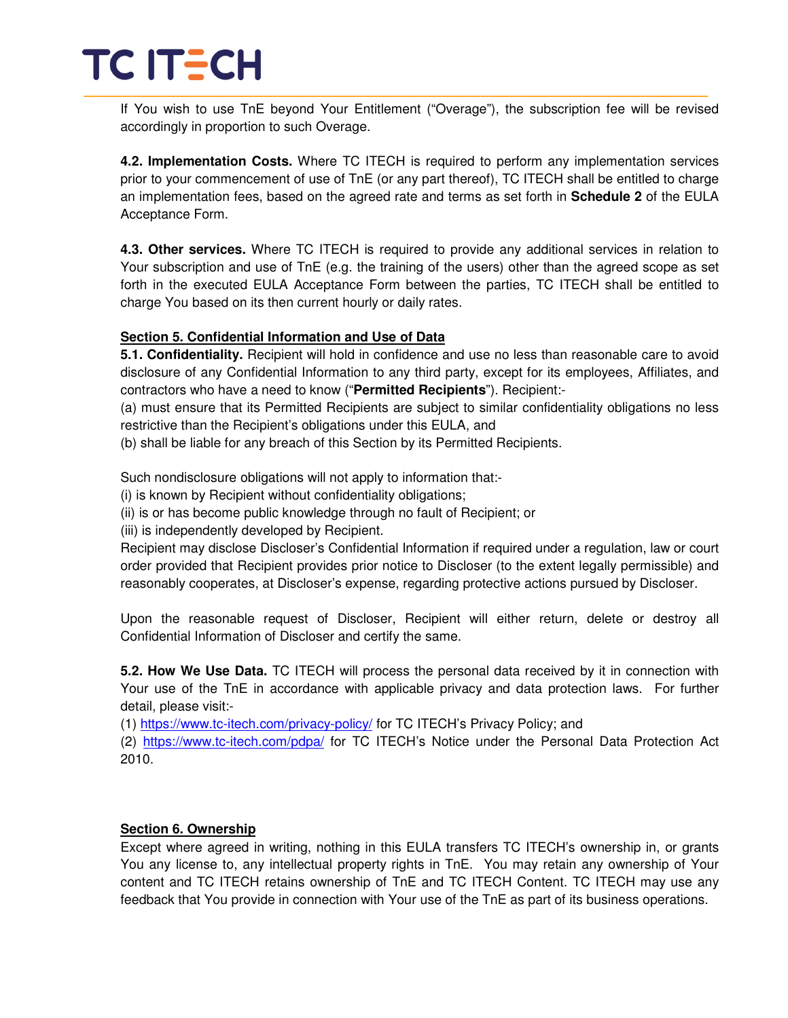## TC ITECH \_\_\_\_\_\_\_\_\_\_\_\_\_\_\_\_\_\_\_\_\_\_\_\_\_\_\_\_\_\_\_\_\_\_\_\_\_\_\_\_\_\_\_\_\_\_\_\_\_\_\_\_\_\_\_\_\_\_\_\_\_\_\_\_\_\_\_\_\_\_\_\_\_\_\_\_\_\_\_\_\_\_\_\_\_\_\_\_\_\_\_\_\_\_\_\_\_\_\_\_\_\_\_\_\_\_\_\_\_\_\_\_\_\_\_\_\_\_\_\_\_\_\_\_\_\_\_\_\_

If You wish to use TnE beyond Your Entitlement ("Overage"), the subscription fee will be revised accordingly in proportion to such Overage.

**4.2. Implementation Costs.** Where TC ITECH is required to perform any implementation services prior to your commencement of use of TnE (or any part thereof), TC ITECH shall be entitled to charge an implementation fees, based on the agreed rate and terms as set forth in **Schedule 2** of the EULA Acceptance Form.

**4.3. Other services.** Where TC ITECH is required to provide any additional services in relation to Your subscription and use of TnE (e.g. the training of the users) other than the agreed scope as set forth in the executed EULA Acceptance Form between the parties, TC ITECH shall be entitled to charge You based on its then current hourly or daily rates.

#### **Section 5. Confidential Information and Use of Data**

**5.1. Confidentiality.** Recipient will hold in confidence and use no less than reasonable care to avoid disclosure of any Confidential Information to any third party, except for its employees, Affiliates, and contractors who have a need to know ("**Permitted Recipients**"). Recipient:-

(a) must ensure that its Permitted Recipients are subject to similar confidentiality obligations no less restrictive than the Recipient's obligations under this EULA, and

(b) shall be liable for any breach of this Section by its Permitted Recipients.

Such nondisclosure obligations will not apply to information that:-

(i) is known by Recipient without confidentiality obligations;

(ii) is or has become public knowledge through no fault of Recipient; or

(iii) is independently developed by Recipient.

Recipient may disclose Discloser's Confidential Information if required under a regulation, law or court order provided that Recipient provides prior notice to Discloser (to the extent legally permissible) and reasonably cooperates, at Discloser's expense, regarding protective actions pursued by Discloser.

Upon the reasonable request of Discloser, Recipient will either return, delete or destroy all Confidential Information of Discloser and certify the same.

**5.2. How We Use Data.** TC ITECH will process the personal data received by it in connection with Your use of the TnE in accordance with applicable privacy and data protection laws. For further detail, please visit:-

(1) https://www.tc-itech.com/privacy-policy/ for TC ITECH's Privacy Policy; and

(2) https://www.tc-itech.com/pdpa/ for TC ITECH's Notice under the Personal Data Protection Act 2010.

#### **Section 6. Ownership**

Except where agreed in writing, nothing in this EULA transfers TC ITECH's ownership in, or grants You any license to, any intellectual property rights in TnE. You may retain any ownership of Your content and TC ITECH retains ownership of TnE and TC ITECH Content. TC ITECH may use any feedback that You provide in connection with Your use of the TnE as part of its business operations.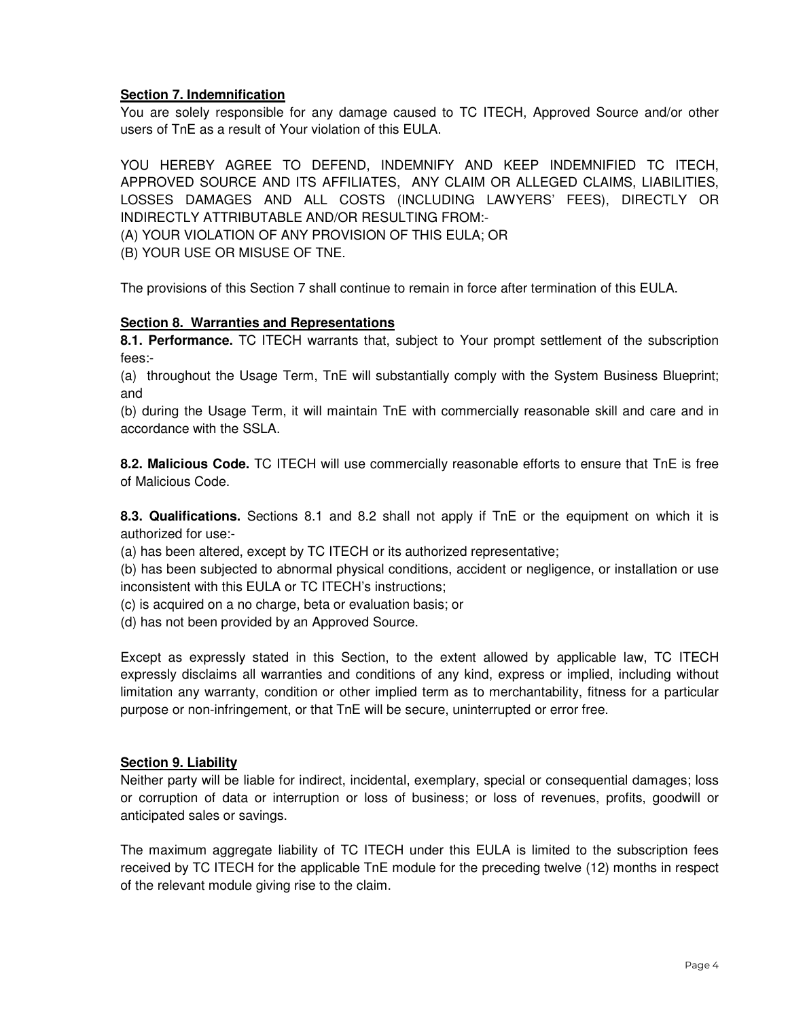#### **Section 7. Indemnification**

You are solely responsible for any damage caused to TC ITECH, Approved Source and/or other users of TnE as a result of Your violation of this EULA.

YOU HEREBY AGREE TO DEFEND, INDEMNIFY AND KEEP INDEMNIFIED TC ITECH, APPROVED SOURCE AND ITS AFFILIATES, ANY CLAIM OR ALLEGED CLAIMS, LIABILITIES, LOSSES DAMAGES AND ALL COSTS (INCLUDING LAWYERS' FEES), DIRECTLY OR INDIRECTLY ATTRIBUTABLE AND/OR RESULTING FROM:-

(A) YOUR VIOLATION OF ANY PROVISION OF THIS EULA; OR

(B) YOUR USE OR MISUSE OF TNE.

The provisions of this Section 7 shall continue to remain in force after termination of this EULA.

#### **Section 8. Warranties and Representations**

**8.1. Performance.** TC ITECH warrants that, subject to Your prompt settlement of the subscription fees:-

(a) throughout the Usage Term, TnE will substantially comply with the System Business Blueprint; and

(b) during the Usage Term, it will maintain TnE with commercially reasonable skill and care and in accordance with the SSLA.

**8.2. Malicious Code.** TC ITECH will use commercially reasonable efforts to ensure that TnE is free of Malicious Code.

**8.3. Qualifications.** Sections 8.1 and 8.2 shall not apply if TnE or the equipment on which it is authorized for use:-

(a) has been altered, except by TC ITECH or its authorized representative;

(b) has been subjected to abnormal physical conditions, accident or negligence, or installation or use inconsistent with this EULA or TC ITECH's instructions;

(c) is acquired on a no charge, beta or evaluation basis; or

(d) has not been provided by an Approved Source.

Except as expressly stated in this Section, to the extent allowed by applicable law, TC ITECH expressly disclaims all warranties and conditions of any kind, express or implied, including without limitation any warranty, condition or other implied term as to merchantability, fitness for a particular purpose or non-infringement, or that TnE will be secure, uninterrupted or error free.

#### **Section 9. Liability**

Neither party will be liable for indirect, incidental, exemplary, special or consequential damages; loss or corruption of data or interruption or loss of business; or loss of revenues, profits, goodwill or anticipated sales or savings.

The maximum aggregate liability of TC ITECH under this EULA is limited to the subscription fees received by TC ITECH for the applicable TnE module for the preceding twelve (12) months in respect of the relevant module giving rise to the claim.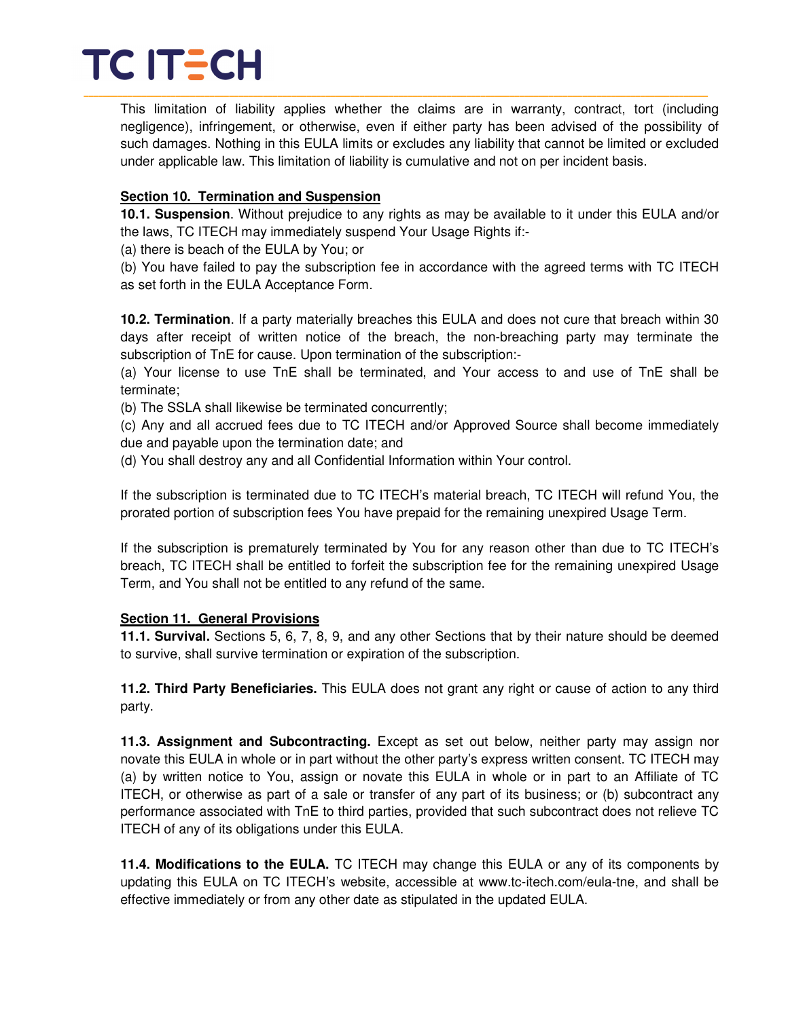## TC ITECH \_\_\_\_\_\_\_\_\_\_\_\_\_\_\_\_\_\_\_\_\_\_\_\_\_\_\_\_\_\_\_\_\_\_\_\_\_\_\_\_\_\_\_\_\_\_\_\_\_\_\_\_\_\_\_\_\_\_\_\_\_\_\_\_\_\_\_\_\_\_\_\_\_\_\_\_\_\_\_\_\_\_\_\_\_\_\_\_\_\_\_\_\_\_\_\_\_\_\_\_\_\_\_\_\_\_\_\_\_\_\_\_\_\_\_\_\_\_\_\_\_\_\_\_\_\_\_\_\_

This limitation of liability applies whether the claims are in warranty, contract, tort (including negligence), infringement, or otherwise, even if either party has been advised of the possibility of such damages. Nothing in this EULA limits or excludes any liability that cannot be limited or excluded under applicable law. This limitation of liability is cumulative and not on per incident basis.

#### **Section 10. Termination and Suspension**

**10.1. Suspension**. Without prejudice to any rights as may be available to it under this EULA and/or the laws, TC ITECH may immediately suspend Your Usage Rights if:-

(a) there is beach of the EULA by You; or

(b) You have failed to pay the subscription fee in accordance with the agreed terms with TC ITECH as set forth in the EULA Acceptance Form.

**10.2. Termination**. If a party materially breaches this EULA and does not cure that breach within 30 days after receipt of written notice of the breach, the non-breaching party may terminate the subscription of TnE for cause. Upon termination of the subscription:-

(a) Your license to use TnE shall be terminated, and Your access to and use of TnE shall be terminate;

(b) The SSLA shall likewise be terminated concurrently;

(c) Any and all accrued fees due to TC ITECH and/or Approved Source shall become immediately due and payable upon the termination date; and

(d) You shall destroy any and all Confidential Information within Your control.

If the subscription is terminated due to TC ITECH's material breach, TC ITECH will refund You, the prorated portion of subscription fees You have prepaid for the remaining unexpired Usage Term.

If the subscription is prematurely terminated by You for any reason other than due to TC ITECH's breach, TC ITECH shall be entitled to forfeit the subscription fee for the remaining unexpired Usage Term, and You shall not be entitled to any refund of the same.

#### **Section 11. General Provisions**

**11.1. Survival.** Sections 5, 6, 7, 8, 9, and any other Sections that by their nature should be deemed to survive, shall survive termination or expiration of the subscription.

**11.2. Third Party Beneficiaries.** This EULA does not grant any right or cause of action to any third party.

**11.3. Assignment and Subcontracting.** Except as set out below, neither party may assign nor novate this EULA in whole or in part without the other party's express written consent. TC ITECH may (a) by written notice to You, assign or novate this EULA in whole or in part to an Affiliate of TC ITECH, or otherwise as part of a sale or transfer of any part of its business; or (b) subcontract any performance associated with TnE to third parties, provided that such subcontract does not relieve TC ITECH of any of its obligations under this EULA.

**11.4. Modifications to the EULA.** TC ITECH may change this EULA or any of its components by updating this EULA on TC ITECH's website, accessible at www.tc-itech.com/eula-tne, and shall be effective immediately or from any other date as stipulated in the updated EULA.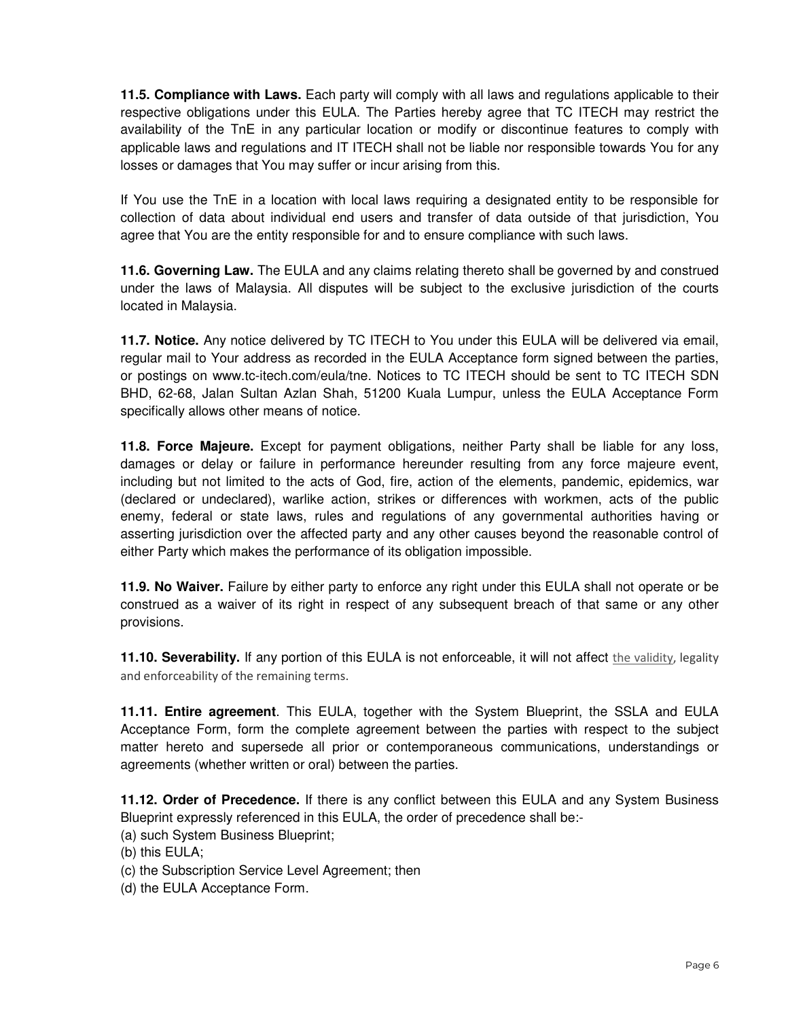**11.5. Compliance with Laws.** Each party will comply with all laws and regulations applicable to their respective obligations under this EULA. The Parties hereby agree that TC ITECH may restrict the availability of the TnE in any particular location or modify or discontinue features to comply with applicable laws and regulations and IT ITECH shall not be liable nor responsible towards You for any losses or damages that You may suffer or incur arising from this.

If You use the TnE in a location with local laws requiring a designated entity to be responsible for collection of data about individual end users and transfer of data outside of that jurisdiction, You agree that You are the entity responsible for and to ensure compliance with such laws.

**11.6. Governing Law.** The EULA and any claims relating thereto shall be governed by and construed under the laws of Malaysia. All disputes will be subject to the exclusive jurisdiction of the courts located in Malaysia.

**11.7. Notice.** Any notice delivered by TC ITECH to You under this EULA will be delivered via email, regular mail to Your address as recorded in the EULA Acceptance form signed between the parties, or postings on www.tc-itech.com/eula/tne. Notices to TC ITECH should be sent to TC ITECH SDN BHD, 62-68, Jalan Sultan Azlan Shah, 51200 Kuala Lumpur, unless the EULA Acceptance Form specifically allows other means of notice.

**11.8. Force Majeure.** Except for payment obligations, neither Party shall be liable for any loss, damages or delay or failure in performance hereunder resulting from any force majeure event, including but not limited to the acts of God, fire, action of the elements, pandemic, epidemics, war (declared or undeclared), warlike action, strikes or differences with workmen, acts of the public enemy, federal or state laws, rules and regulations of any governmental authorities having or asserting jurisdiction over the affected party and any other causes beyond the reasonable control of either Party which makes the performance of its obligation impossible.

**11.9. No Waiver.** Failure by either party to enforce any right under this EULA shall not operate or be construed as a waiver of its right in respect of any subsequent breach of that same or any other provisions.

**11.10. Severability.** If any portion of this EULA is not enforceable, it will not affect the validity, legality and enforceability of the remaining terms.

**11.11. Entire agreement**. This EULA, together with the System Blueprint, the SSLA and EULA Acceptance Form, form the complete agreement between the parties with respect to the subject matter hereto and supersede all prior or contemporaneous communications, understandings or agreements (whether written or oral) between the parties.

**11.12. Order of Precedence.** If there is any conflict between this EULA and any System Business Blueprint expressly referenced in this EULA, the order of precedence shall be:-

(a) such System Business Blueprint;

(b) this EULA;

(c) the Subscription Service Level Agreement; then

(d) the EULA Acceptance Form.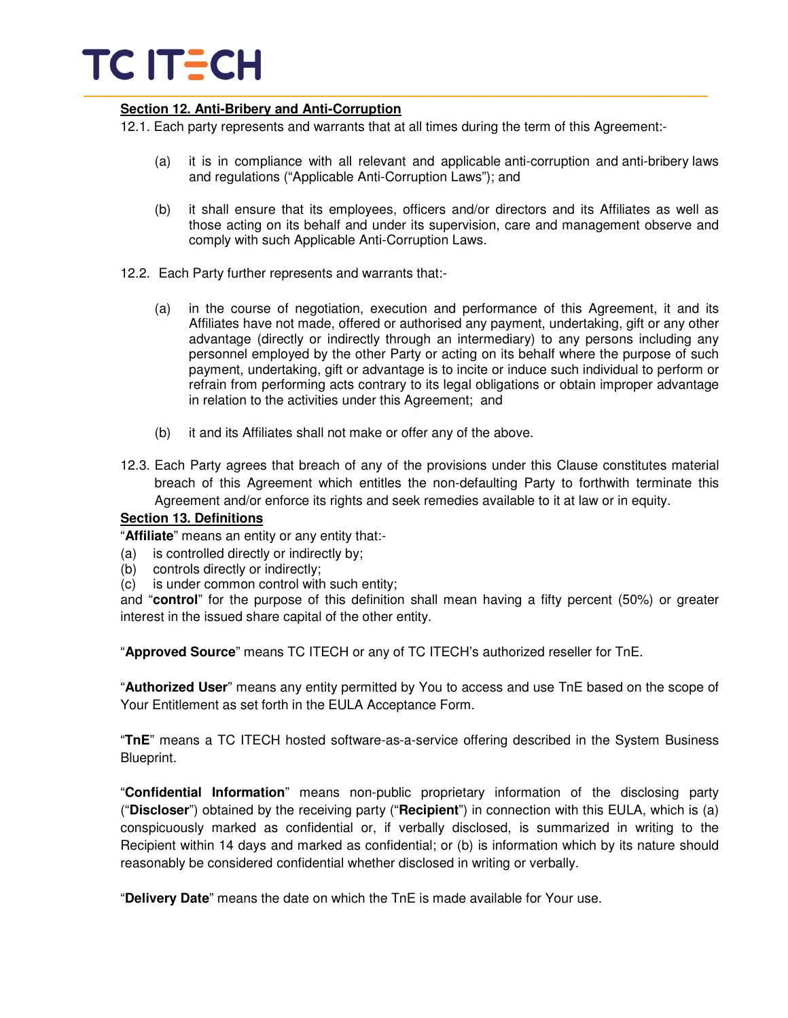# TC IT<del>E</del>CH

#### **Section 12. Anti-Bribery and Anti-Corruption**

12.1. Each party represents and warrants that at all times during the term of this Agreement:-

\_\_\_\_\_\_\_\_\_\_\_\_\_\_\_\_\_\_\_\_\_\_\_\_\_\_\_\_\_\_\_\_\_\_\_\_\_\_\_\_\_\_\_\_\_\_\_\_\_\_\_\_\_\_\_\_\_\_\_\_\_\_\_\_\_\_\_\_\_\_\_\_\_\_\_\_\_\_\_\_\_\_\_\_\_\_\_\_\_\_\_\_\_\_\_\_\_\_\_\_\_\_\_\_\_\_\_\_\_\_\_\_\_\_\_\_\_\_\_\_\_\_\_\_\_\_\_\_\_

- (a) it is in compliance with all relevant and applicable anti-corruption and anti-bribery laws and regulations ("Applicable Anti-Corruption Laws"); and
- (b) it shall ensure that its employees, officers and/or directors and its Affiliates as well as those acting on its behalf and under its supervision, care and management observe and comply with such Applicable Anti-Corruption Laws.
- 12.2. Each Party further represents and warrants that:-
	- (a) in the course of negotiation, execution and performance of this Agreement, it and its Affiliates have not made, offered or authorised any payment, undertaking, gift or any other advantage (directly or indirectly through an intermediary) to any persons including any personnel employed by the other Party or acting on its behalf where the purpose of such payment, undertaking, gift or advantage is to incite or induce such individual to perform or refrain from performing acts contrary to its legal obligations or obtain improper advantage in relation to the activities under this Agreement; and
	- (b) it and its Affiliates shall not make or offer any of the above.
- 12.3. Each Party agrees that breach of any of the provisions under this Clause constitutes material breach of this Agreement which entitles the non-defaulting Party to forthwith terminate this Agreement and/or enforce its rights and seek remedies available to it at law or in equity.

#### **Section 13. Definitions**

"**Affiliate**" means an entity or any entity that:-

- (a) is controlled directly or indirectly by;
- (b) controls directly or indirectly;
- (c) is under common control with such entity;

and "**control**" for the purpose of this definition shall mean having a fifty percent (50%) or greater interest in the issued share capital of the other entity.

"**Approved Source**" means TC ITECH or any of TC ITECH's authorized reseller for TnE.

"**Authorized User**" means any entity permitted by You to access and use TnE based on the scope of Your Entitlement as set forth in the EULA Acceptance Form.

"**TnE**" means a TC ITECH hosted software-as-a-service offering described in the System Business Blueprint.

"**Confidential Information**" means non-public proprietary information of the disclosing party ("**Discloser**") obtained by the receiving party ("**Recipient**") in connection with this EULA, which is (a) conspicuously marked as confidential or, if verbally disclosed, is summarized in writing to the Recipient within 14 days and marked as confidential; or (b) is information which by its nature should reasonably be considered confidential whether disclosed in writing or verbally.

"**Delivery Date**" means the date on which the TnE is made available for Your use.